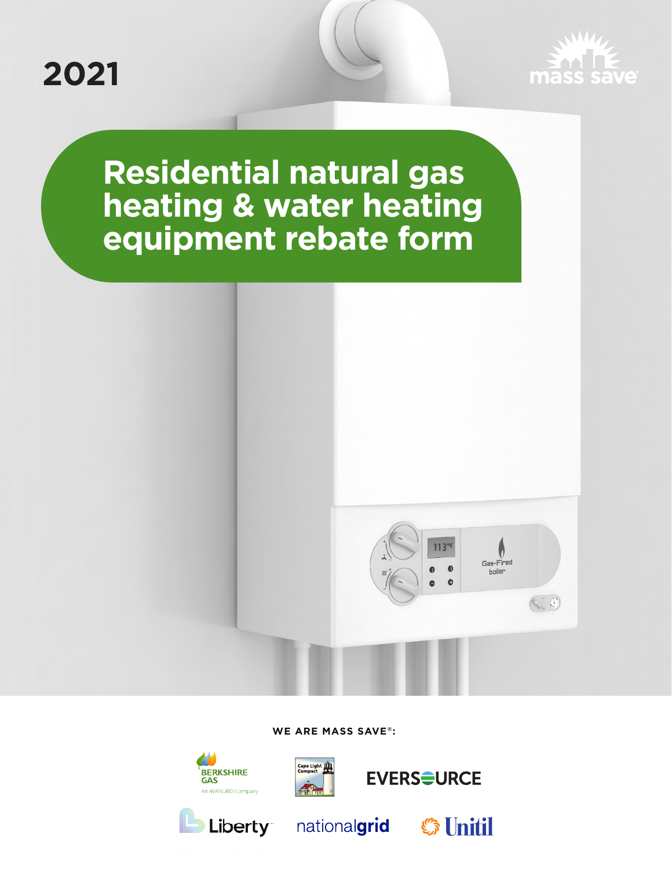



**Residential natural gas heating & water heating equipment rebate form** 



**WE ARE MASS SAVE®:** 





**GAS** 



**S** Unitil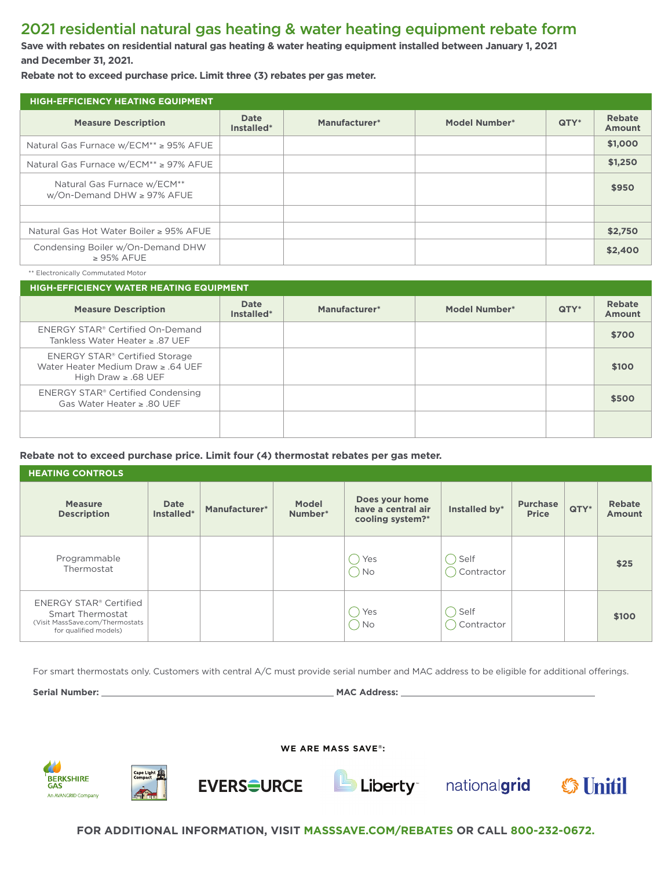# 2021 residential natural gas heating & water heating equipment rebate form

**Save with rebates on residential natural gas heating & water heating equipment installed between January 1, 2021 and December 31, 2021.** 

**Rebate not to exceed purchase price. Limit three (3) rebates per gas meter.** 

| <b>HIGH-EFFICIENCY HEATING EQUIPMENT</b>                          |                           |               |                      |      |                         |  |  |
|-------------------------------------------------------------------|---------------------------|---------------|----------------------|------|-------------------------|--|--|
| <b>Measure Description</b>                                        | <b>Date</b><br>Installed* | Manufacturer* | <b>Model Number*</b> | QTY* | Rebate<br><b>Amount</b> |  |  |
| Natural Gas Furnace w/ECM <sup>**</sup> ≥ 95% AFUE                |                           |               |                      |      | \$1,000                 |  |  |
| Natural Gas Furnace w/ECM <sup>**</sup> ≥ 97% AFUE                |                           |               |                      |      | \$1,250                 |  |  |
| Natural Gas Furnace w/ECM**<br>$w/On$ -Demand DHW $\geq$ 97% AFUE |                           |               |                      |      | \$950                   |  |  |
|                                                                   |                           |               |                      |      |                         |  |  |
| Natural Gas Hot Water Boiler ≥ 95% AFUE                           |                           |               |                      |      | \$2,750                 |  |  |
| Condensing Boiler w/On-Demand DHW<br>$\geq$ 95% AFUE              |                           |               |                      |      | \$2,400                 |  |  |

\*\* Electronically Commutated Motor

| <b>HIGH-EFFICIENCY WATER HEATING EQUIPMENT</b>                                                             |                           |               |                      |      |                         |  |  |  |
|------------------------------------------------------------------------------------------------------------|---------------------------|---------------|----------------------|------|-------------------------|--|--|--|
| <b>Measure Description</b>                                                                                 | <b>Date</b><br>Installed* | Manufacturer* | <b>Model Number*</b> | QTY* | Rebate<br><b>Amount</b> |  |  |  |
| ENERGY STAR® Certified On-Demand<br>Tankless Water Heater $\ge$ .87 UEF                                    |                           |               |                      |      | \$700                   |  |  |  |
| <b>ENERGY STAR® Certified Storage</b><br>Water Heater Medium Draw $\ge$ .64 UEF<br>High Draw $\ge$ .68 UEF |                           |               |                      |      | \$100                   |  |  |  |
| ENERGY STAR® Certified Condensing<br>Gas Water Heater $\ge$ .80 UEF                                        |                           |               |                      |      | \$500                   |  |  |  |
|                                                                                                            |                           |               |                      |      |                         |  |  |  |

## **Rebate not to exceed purchase price. Limit four (4) thermostat rebates per gas meter.**

| <b>HEATING CONTROLS</b>                                                                                              |                    |               |                         |                                                          |                    |                                 |         |                         |
|----------------------------------------------------------------------------------------------------------------------|--------------------|---------------|-------------------------|----------------------------------------------------------|--------------------|---------------------------------|---------|-------------------------|
| <b>Measure</b><br><b>Description</b>                                                                                 | Date<br>Installed* | Manufacturer* | <b>Model</b><br>Number* | Does your home<br>have a central air<br>cooling system?* | Installed by*      | <b>Purchase</b><br><b>Price</b> | $QTY^*$ | Rebate<br><b>Amount</b> |
| Programmable<br>Thermostat                                                                                           |                    |               |                         | Yes<br>' No                                              | Self<br>Contractor |                                 |         | \$25                    |
| <b>ENERGY STAR® Certified</b><br><b>Smart Thermostat</b><br>(Visit MassSave.com/Thermostats<br>for qualified models) |                    |               |                         | Yes<br>' No                                              | Self<br>Contractor |                                 |         | \$100                   |

For smart thermostats only. Customers with central A/C must provide serial number and MAC address to be eligible for additional oferings.

**WE ARE MASS SAVE®:** 

**Serial Number: 2008 Contract Address: 2008 MAC Address: 2008 MAC Address: 2008 MAC Address: 2008 MAC Address: 2008** 

**BERKSHIRE GAS** An AVANGRID Company







**FOR ADDITIONAL INFORMATION, VISIT [MASSSAVE.COM/REBATES](www.MassSave.com/Thermostats) OR CALL 800-232-0672.**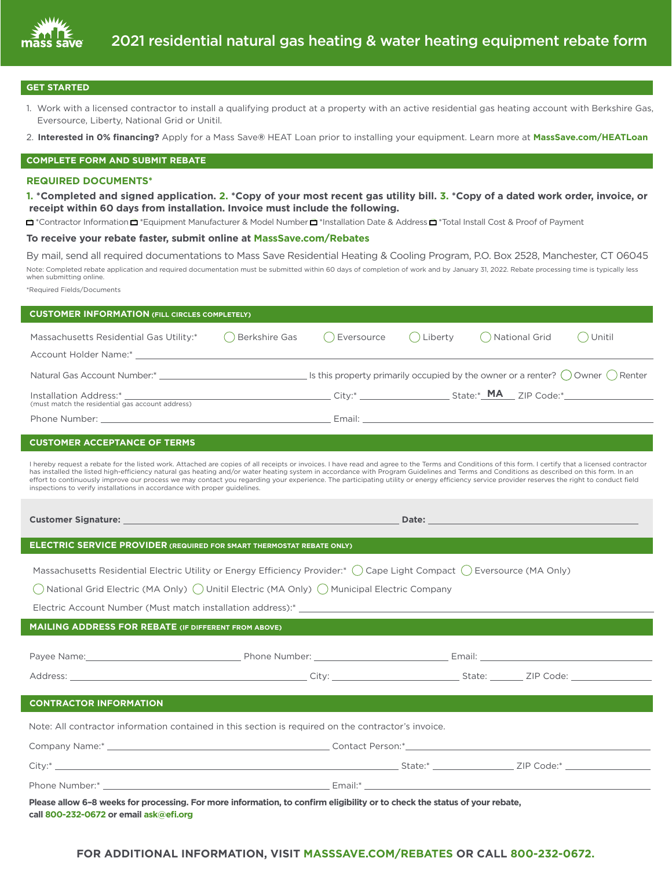

#### **GET STARTED**

- 1. Work with a licensed contractor to install a qualifying product at a property with an active residential gas heating account with Berkshire Gas, Eversource, Liberty, National Grid or Unitil.
- 2. **Interested in 0% fnancing?** Apply for a Mass Save**®** HEAT Loan prior to installing your equipment. Learn more at **[MassSave.com/HEATLoan](www.MassSave.com/HEATLoan)**

#### **COMPLETE FORM AND SUBMIT REBATE**

#### **REQUIRED DOCUMENTS\***

**1. \*Completed and signed application. 2. \*Copy of your most recent gas utility bill. 3. \*Copy of a dated work order, invoice, or receipt within 60 days from installation. Invoice must include the following.** 

❍ ❍ ❍ ❍ \*Contractor Information \*Equipment Manufacturer & Model Number \*Installation Date & Address \*Total Install Cost & Proof of Payment

### **To receive your rebate faster, submit online at [MassSave.com/Rebates](www.MassSave.com/Thermostats)**

By mail, send all required documentations to Mass Save Residential Heating & Cooling Program, P.O. Box 2528, Manchester, CT 06045 Note: Completed rebate application and required documentation must be submitted within 60 days of completion of work and by January 31, 2022. Rebate processing time is typically less when submitting online.

\*Required Fields/Documents

| <b>CUSTOMER INFORMATION (FILL CIRCLES COMPLETELY)</b>                                                                                                                                                                                                                                                                                                                                                                                                                                                                                                                                                                                                                         |                                                                                                                                                                                                                              |            |         |                   |        |  |  |
|-------------------------------------------------------------------------------------------------------------------------------------------------------------------------------------------------------------------------------------------------------------------------------------------------------------------------------------------------------------------------------------------------------------------------------------------------------------------------------------------------------------------------------------------------------------------------------------------------------------------------------------------------------------------------------|------------------------------------------------------------------------------------------------------------------------------------------------------------------------------------------------------------------------------|------------|---------|-------------------|--------|--|--|
| Massachusetts Residential Gas Utility:*                                                                                                                                                                                                                                                                                                                                                                                                                                                                                                                                                                                                                                       | () Berkshire Gas                                                                                                                                                                                                             | Eversource | Liberty | ( ) National Grid | Unitil |  |  |
|                                                                                                                                                                                                                                                                                                                                                                                                                                                                                                                                                                                                                                                                               |                                                                                                                                                                                                                              |            |         |                   |        |  |  |
|                                                                                                                                                                                                                                                                                                                                                                                                                                                                                                                                                                                                                                                                               |                                                                                                                                                                                                                              |            |         |                   |        |  |  |
|                                                                                                                                                                                                                                                                                                                                                                                                                                                                                                                                                                                                                                                                               |                                                                                                                                                                                                                              |            |         |                   |        |  |  |
| (must match the residential gas account address)                                                                                                                                                                                                                                                                                                                                                                                                                                                                                                                                                                                                                              |                                                                                                                                                                                                                              |            |         |                   |        |  |  |
|                                                                                                                                                                                                                                                                                                                                                                                                                                                                                                                                                                                                                                                                               |                                                                                                                                                                                                                              |            |         |                   |        |  |  |
| <b>CUSTOMER ACCEPTANCE OF TERMS</b>                                                                                                                                                                                                                                                                                                                                                                                                                                                                                                                                                                                                                                           |                                                                                                                                                                                                                              |            |         |                   |        |  |  |
| I hereby request a rebate for the listed work. Attached are copies of all receipts or invoices. I have read and agree to the Terms and Conditions of this form. I certify that a licensed contractor<br>has installed the listed high-efficiency natural gas heating and/or water heating system in accordance with Program Guidelines and Terms and Conditions as described on this form. In an<br>effort to continuously improve our process we may contact you regarding your experience. The participating utility or energy efficiency service provider reserves the right to conduct field<br>inspections to verify installations in accordance with proper guidelines. |                                                                                                                                                                                                                              |            |         |                   |        |  |  |
|                                                                                                                                                                                                                                                                                                                                                                                                                                                                                                                                                                                                                                                                               | Date: All and the second contract of the second contract of the second contract of the second contract of the<br>Customer Signature: National Account of the Customer Signature: National Account of the Customer Signature: |            |         |                   |        |  |  |
| ELECTRIC SERVICE PROVIDER (REQUIRED FOR SMART THERMOSTAT REBATE ONLY)                                                                                                                                                                                                                                                                                                                                                                                                                                                                                                                                                                                                         |                                                                                                                                                                                                                              |            |         |                   |        |  |  |
| Massachusetts Residential Electric Utility or Energy Efficiency Provider:* (Cape Light Compact (C) Eversource (MA Only)                                                                                                                                                                                                                                                                                                                                                                                                                                                                                                                                                       |                                                                                                                                                                                                                              |            |         |                   |        |  |  |
| ◯ National Grid Electric (MA Only) ◯ Unitil Electric (MA Only) ◯ Municipal Electric Company                                                                                                                                                                                                                                                                                                                                                                                                                                                                                                                                                                                   |                                                                                                                                                                                                                              |            |         |                   |        |  |  |
|                                                                                                                                                                                                                                                                                                                                                                                                                                                                                                                                                                                                                                                                               |                                                                                                                                                                                                                              |            |         |                   |        |  |  |
| <b>MAILING ADDRESS FOR REBATE (IF DIFFERENT FROM ABOVE)</b>                                                                                                                                                                                                                                                                                                                                                                                                                                                                                                                                                                                                                   |                                                                                                                                                                                                                              |            |         |                   |        |  |  |
|                                                                                                                                                                                                                                                                                                                                                                                                                                                                                                                                                                                                                                                                               |                                                                                                                                                                                                                              |            |         |                   |        |  |  |
|                                                                                                                                                                                                                                                                                                                                                                                                                                                                                                                                                                                                                                                                               |                                                                                                                                                                                                                              |            |         |                   |        |  |  |
|                                                                                                                                                                                                                                                                                                                                                                                                                                                                                                                                                                                                                                                                               |                                                                                                                                                                                                                              |            |         |                   |        |  |  |
|                                                                                                                                                                                                                                                                                                                                                                                                                                                                                                                                                                                                                                                                               |                                                                                                                                                                                                                              |            |         |                   |        |  |  |
| <b>CONTRACTOR INFORMATION</b>                                                                                                                                                                                                                                                                                                                                                                                                                                                                                                                                                                                                                                                 |                                                                                                                                                                                                                              |            |         |                   |        |  |  |
| Note: All contractor information contained in this section is required on the contractor's invoice.                                                                                                                                                                                                                                                                                                                                                                                                                                                                                                                                                                           |                                                                                                                                                                                                                              |            |         |                   |        |  |  |
|                                                                                                                                                                                                                                                                                                                                                                                                                                                                                                                                                                                                                                                                               |                                                                                                                                                                                                                              |            |         |                   |        |  |  |
|                                                                                                                                                                                                                                                                                                                                                                                                                                                                                                                                                                                                                                                                               |                                                                                                                                                                                                                              |            |         |                   |        |  |  |
|                                                                                                                                                                                                                                                                                                                                                                                                                                                                                                                                                                                                                                                                               |                                                                                                                                                                                                                              |            |         |                   |        |  |  |
| Please allow 6-8 weeks for processing. For more information, to confirm eligibility or to check the status of your rebate,<br>call 800-232-0672 or email ask@efi.org                                                                                                                                                                                                                                                                                                                                                                                                                                                                                                          |                                                                                                                                                                                                                              |            |         |                   |        |  |  |